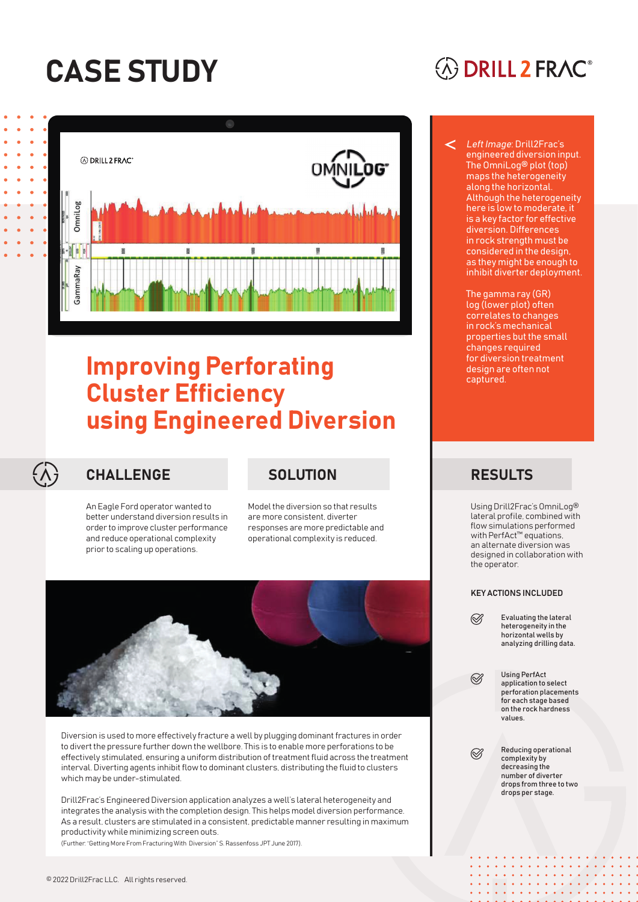# CASE STUDY

# **EDRILL 2 FRAC®**

Left Image: Drill2Frac's engineered diversion input.



# **Improving Perforating** Cluster Efficiency using Engineered Diversion

## CHALLENGE SOLUTION RESULTS

An Eagle Ford operator wanted to better understand diversion results in order to improve cluster performance and reduce operational complexity prior to scaling up operations.

Model the diversion so that results are more consistent, diverter responses are more predictable and operational complexity is reduced.



Diversion is used to more effectively fracture a well by plugging dominant fractures in order to divert the pressure further down the wellbore. This is to enable more perforations to be effectively stimulated, ensuring a uniform distribution of treatment fluid across the treatment interval. Diverting agents inhibit flow to dominant clusters, distributing the fluid to clusters which may be under-stimulated.

Drill2Frac's Engineered Diversion application analyzes a well's lateral heterogeneity and integrates the analysis with the completion design. This helps model diversion performance. As a result, clusters are stimulated in a consistent, predictable manner resulting in maximum productivity while minimizing screen outs.

(Further: "Getting More From Fracturing With Diversion" S. Rassenfoss JPT June 2017).

### The OmniLog® plot (top) maps the heterogeneity along the horizontal. Although the heterogeneity here is low to moderate, it is a key factor for effective diversion. Differences in rock strength must be considered in the design, as they might be enough to inhibit diverter deployment.

The gamma ray (GR) log (lower plot) often correlates to changes in rock's mechanical properties but the small changes required for diversion treatment design are often not

Using Drill2Frac's OmniLog® lateral profile, combined with flow simulations performed with PerfAct™ equations, an alternate diversion was designed in collaboration with the operator.

### KEY ACTIONS INCLUDED

Evaluating the lateral  $\oslash$ heterogeneity in the horizontal wells by analyzing drilling data.

 $\oslash$ Using PerfAct application to select perforation placements for each stage based

 $\oslash$ 

Reducing operational complexity by on the rock hardness values.

decreasing the number of diverter drops from three to two drops per stage.